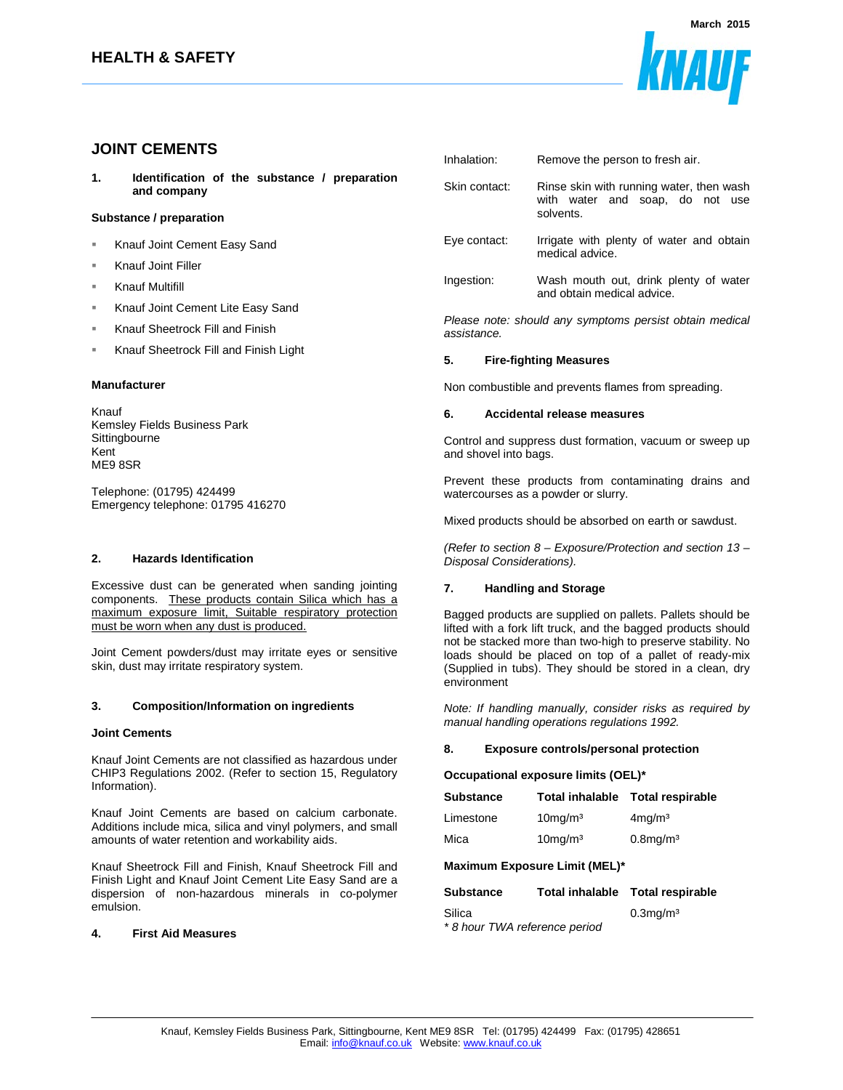

# **JOINT CEMENTS**

**1. Identification of the substance / preparation and company**

# **Substance / preparation**

- Knauf Joint Cement Easy Sand
- Knauf Joint Filler
- Knauf Multifill
- Knauf Joint Cement Lite Easy Sand
- Knauf Sheetrock Fill and Finish
- Knauf Sheetrock Fill and Finish Light

### **Manufacturer**

Knauf Kemsley Fields Business Park **Sittingbourne** Kent ME9 8SR

Telephone: (01795) 424499 Emergency telephone: 01795 416270

## **2. Hazards Identification**

Excessive dust can be generated when sanding jointing components. These products contain Silica which has a maximum exposure limit, Suitable respiratory protection must be worn when any dust is produced.

Joint Cement powders/dust may irritate eyes or sensitive skin, dust may irritate respiratory system.

### **3. Composition/Information on ingredients**

### **Joint Cements**

Knauf Joint Cements are not classified as hazardous under CHIP3 Regulations 2002. (Refer to section 15, Regulatory Information).

Knauf Joint Cements are based on calcium carbonate. Additions include mica, silica and vinyl polymers, and small amounts of water retention and workability aids.

Knauf Sheetrock Fill and Finish, Knauf Sheetrock Fill and Finish Light and Knauf Joint Cement Lite Easy Sand are a dispersion of non-hazardous minerals in co-polymer emulsion.

## **4. First Aid Measures**

| Inhalation:   | Remove the person to fresh air.                                                          |
|---------------|------------------------------------------------------------------------------------------|
| Skin contact: | Rinse skin with running water, then wash<br>with water and soap, do not use<br>solvents. |
| Eye contact:  | Irrigate with plenty of water and obtain<br>medical advice.                              |
| Ingestion:    | Wash mouth out, drink plenty of water<br>and obtain medical advice.                      |

Please note: should any symptoms persist obtain medical assistance.

### **5. Fire-fighting Measures**

Non combustible and prevents flames from spreading.

#### **6. Accidental release measures**

Control and suppress dust formation, vacuum or sweep up and shovel into bags.

Prevent these products from contaminating drains and watercourses as a powder or slurry.

Mixed products should be absorbed on earth or sawdust.

(Refer to section 8 – Exposure/Protection and section 13 – Disposal Considerations).

# **7. Handling and Storage**

Bagged products are supplied on pallets. Pallets should be lifted with a fork lift truck, and the bagged products should not be stacked more than two-high to preserve stability. No loads should be placed on top of a pallet of ready-mix (Supplied in tubs). They should be stored in a clean, dry environment

Note: If handling manually, consider risks as required by manual handling operations regulations 1992.

## **8. Exposure controls/personal protection**

# **Occupational exposure limits (OEL)\***

| <b>Substance</b> |                        | Total inhalable Total respirable |
|------------------|------------------------|----------------------------------|
| Limestone        | $10$ mg/m $3$          | $4$ mg/m $3$                     |
| Mica             | $10$ mg/m <sup>3</sup> | $0.8$ mg/m <sup>3</sup>          |

# **Maximum Exposure Limit (MEL)\***

| <b>Substance</b>              | Total inhalable Total respirable |  |  |
|-------------------------------|----------------------------------|--|--|
| Silica                        | $0.3$ mg/m $3$                   |  |  |
| * 8 hour TWA reference period |                                  |  |  |